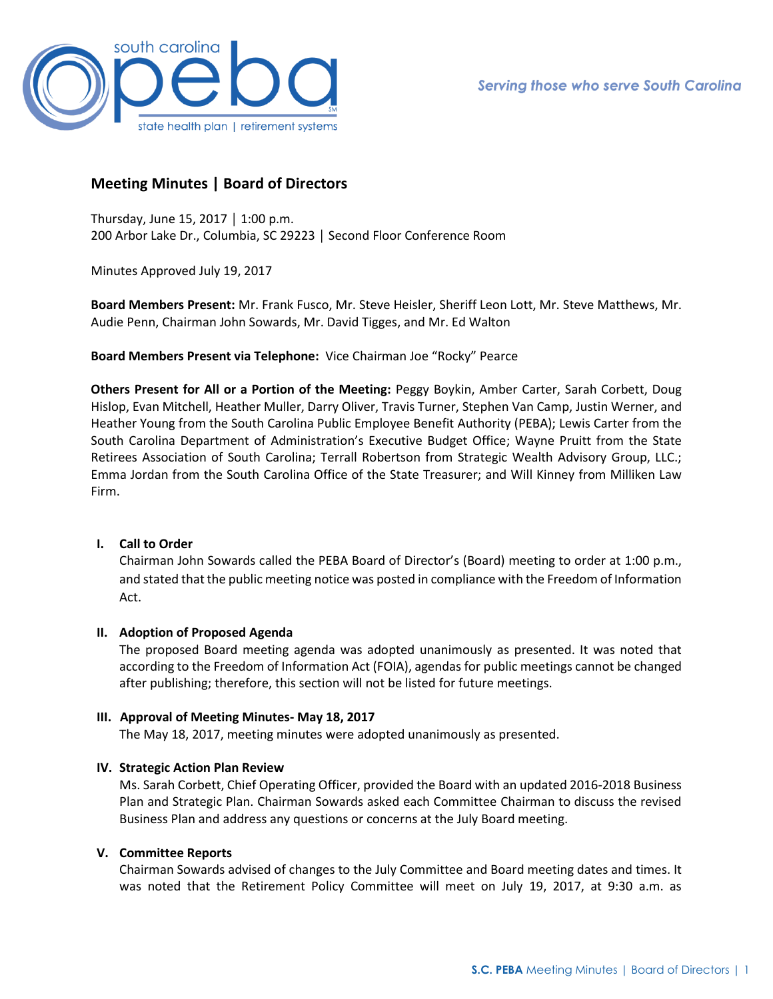

# **Meeting Minutes | Board of Directors**

Thursday, June 15, 2017 │ 1:00 p.m. 200 Arbor Lake Dr., Columbia, SC 29223 │ Second Floor Conference Room

Minutes Approved July 19, 2017

**Board Members Present:** Mr. Frank Fusco, Mr. Steve Heisler, Sheriff Leon Lott, Mr. Steve Matthews, Mr. Audie Penn, Chairman John Sowards, Mr. David Tigges, and Mr. Ed Walton

**Board Members Present via Telephone:** Vice Chairman Joe "Rocky" Pearce

**Others Present for All or a Portion of the Meeting:** Peggy Boykin, Amber Carter, Sarah Corbett, Doug Hislop, Evan Mitchell, Heather Muller, Darry Oliver, Travis Turner, Stephen Van Camp, Justin Werner, and Heather Young from the South Carolina Public Employee Benefit Authority (PEBA); Lewis Carter from the South Carolina Department of Administration's Executive Budget Office; Wayne Pruitt from the State Retirees Association of South Carolina; Terrall Robertson from Strategic Wealth Advisory Group, LLC.; Emma Jordan from the South Carolina Office of the State Treasurer; and Will Kinney from Milliken Law Firm.

# **I. Call to Order**

Chairman John Sowards called the PEBA Board of Director's (Board) meeting to order at 1:00 p.m., and stated that the public meeting notice was posted in compliance with the Freedom of Information Act.

# **II. Adoption of Proposed Agenda**

The proposed Board meeting agenda was adopted unanimously as presented. It was noted that according to the Freedom of Information Act (FOIA), agendas for public meetings cannot be changed after publishing; therefore, this section will not be listed for future meetings.

## **III. Approval of Meeting Minutes- May 18, 2017**

The May 18, 2017, meeting minutes were adopted unanimously as presented.

## **IV. Strategic Action Plan Review**

Ms. Sarah Corbett, Chief Operating Officer, provided the Board with an updated 2016-2018 Business Plan and Strategic Plan. Chairman Sowards asked each Committee Chairman to discuss the revised Business Plan and address any questions or concerns at the July Board meeting.

## **V. Committee Reports**

Chairman Sowards advised of changes to the July Committee and Board meeting dates and times. It was noted that the Retirement Policy Committee will meet on July 19, 2017, at 9:30 a.m. as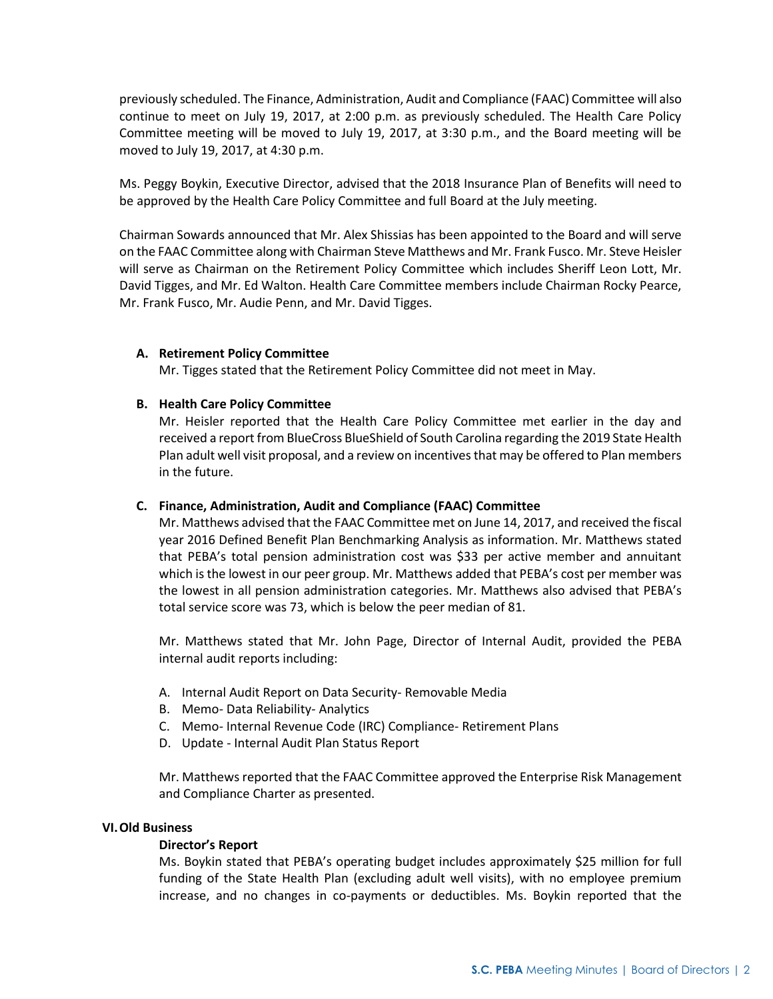previously scheduled. The Finance, Administration, Audit and Compliance (FAAC) Committee will also continue to meet on July 19, 2017, at 2:00 p.m. as previously scheduled. The Health Care Policy Committee meeting will be moved to July 19, 2017, at 3:30 p.m., and the Board meeting will be moved to July 19, 2017, at 4:30 p.m.

Ms. Peggy Boykin, Executive Director, advised that the 2018 Insurance Plan of Benefits will need to be approved by the Health Care Policy Committee and full Board at the July meeting.

Chairman Sowards announced that Mr. Alex Shissias has been appointed to the Board and will serve on the FAAC Committee along with Chairman Steve Matthews and Mr. Frank Fusco. Mr. Steve Heisler will serve as Chairman on the Retirement Policy Committee which includes Sheriff Leon Lott, Mr. David Tigges, and Mr. Ed Walton. Health Care Committee members include Chairman Rocky Pearce, Mr. Frank Fusco, Mr. Audie Penn, and Mr. David Tigges.

## **A. Retirement Policy Committee**

Mr. Tigges stated that the Retirement Policy Committee did not meet in May.

## **B. Health Care Policy Committee**

Mr. Heisler reported that the Health Care Policy Committee met earlier in the day and received a report from BlueCross BlueShield of South Carolina regarding the 2019 State Health Plan adult well visit proposal, and a review on incentives that may be offered to Plan members in the future.

## **C. Finance, Administration, Audit and Compliance (FAAC) Committee**

Mr. Matthews advised that the FAAC Committee met on June 14, 2017, and received the fiscal year 2016 Defined Benefit Plan Benchmarking Analysis as information. Mr. Matthews stated that PEBA's total pension administration cost was \$33 per active member and annuitant which is the lowest in our peer group. Mr. Matthews added that PEBA's cost per member was the lowest in all pension administration categories. Mr. Matthews also advised that PEBA's total service score was 73, which is below the peer median of 81.

Mr. Matthews stated that Mr. John Page, Director of Internal Audit, provided the PEBA internal audit reports including:

- A. Internal Audit Report on Data Security- Removable Media
- B. Memo- Data Reliability- Analytics
- C. Memo- Internal Revenue Code (IRC) Compliance- Retirement Plans
- D. Update Internal Audit Plan Status Report

Mr. Matthews reported that the FAAC Committee approved the Enterprise Risk Management and Compliance Charter as presented.

## **VI.Old Business**

## **Director's Report**

Ms. Boykin stated that PEBA's operating budget includes approximately \$25 million for full funding of the State Health Plan (excluding adult well visits), with no employee premium increase, and no changes in co-payments or deductibles. Ms. Boykin reported that the